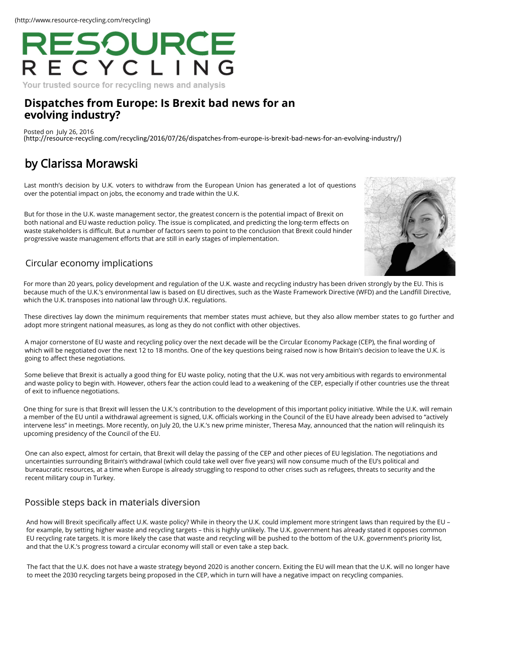# RESOURCE<br>ECYCLING

Your trusted source for recycling news and analysis

### **[Dispatches from Europe: Is Brexit bad news for an](http://resource-recycling.com/recycling/2016/07/26/dispatches-from-europe-is-brexit-bad-news-for-an-evolving-industry/) evolving industry?**

Posted on July 26, 2016 (http://resource-recycling.com/recycling/2016/07/26/dispatches-from-europe-is-brexit-bad-news-for-an-e[volving-industry/\)](https://www.linkedin.com/company/resource-recycling-inc-)

## [by Clarissa Morawski](http://resource-recycling.com/recycling/2016/07/26/dispatches-from-europe-is-brexit-bad-news-for-an-evolving-industry/)

Last month's decision by U.K. voters to withdraw from the European Union has generated a lot of question[s](http://rrconference.com/)  over the potential impact on jobs, the economy and trade within the U.K.

But for those in the U.K. waste management sector, the greatest concern is the potential impact of Brexit on both national and EU waste reduction policy. The issue is complicated, and predicting the long-term effects on waste stakeholders is difficult. But a number of factors seem to point to the conclusion that Brexit could hinder progressive waste management efforts that are still in early stages of implementation.



#### Circular economy implications

For more than 20 years, policy development and regulation of the U.K. waste and recycling industry has been dri[ven strongly by the EU. This is](http://resource-recycling.com/recycling/2016/12/12/qa-takeaways-from-the-state-of-curbside-report/)  because much of the U.K.'s environmental law is based on EU directives, such as the Waste Framework Directive (WFD) and the Landfill Directive, which the U.K. transposes into national law through U.K. regulations.

These directives lay down the minimum requirements that member states must achieve, but they also allow member states to go further and adopt more stringent national measures, as long as they do not conflict with other objectives.

A major cornerstone of EU waste and recycling policy over the next decade will be the Circular Economy Package (CEP), the final wording of which will be negotiated over the next 12 to 18 months. One of the key questions being raised now is how Britain's decision to leave the U.K. is going to aff[ect these negotiations.](http://resource-recycling.com/node/7181)

Some believe that Brexit is actually a good thing for EU waste policy, noting that the U.K. was not very ambitious with regards to environmental and waste policy to begin with. However, others fear the action could lead to a weakening of the CEP, especially i[f other countries use the threat](http://resource-recycling.com/recycling/2016/12/12/study-explores-what-works-and-what-doesnt-do-much-in-curbside-recycling/)  of exit to influence negotiations.

One thing for sure is that Brexit will lessen the U.K.'s contribution to the development of this important policy initiative. While the U.K. will remain a member of the EU until a withdrawal agreement is signed, U.K. officials working in the Council of the EU have already been advised to "actively intervene less" in meetings. More recently, on July 20, the U.K.'s new prime minister, Theresa May, announced that the nation will relinquish its upcoming presidency of the Council of the EU.

[One can also expect, almost for certain, that Brexit will delay the passing of the CEP and other pieces](http://europa.eu/about-eu/institutions-bodies/council-eu/index_en.htm) of EU legislation. The negotiations and uncertainties surrounding Britain's withdrawal (which could take well over five years) will now consume much of the EU's political and bureaucratic resources, at a time when Europe is already struggling to respond to other crises such as refugees, [threats to security and](http://resource-recycling.com/recycling/2016/12/12/solutions-for-cleaning-up-glass-at-the-mrf/) the recent military coup in Turkey.

#### Possible steps back in materials diversion

And how will Brexit specifically affect U.K. waste policy? While in theory the U.K. could implement more stringent laws than required by the EU – for example, by setting higher waste and recycling targets – this is highly unlikely. The U.K. government has already stated it opposes common EU recycling rate targets. It is more likely the case that waste and recycling will be pushed to the bottom of the [U.K. government's](http://resource-recycling.com/recycling/2016/12/12/los-angeles-adopts-commercial-franchise-recycling/) priority list, and that the U.K.'s progress toward a circular economy will stall or even take a step back.

The fact that the U.K. does not have a waste strategy beyond 2020 is another concern. Exiting the EU will mean that the U.K. will no longer have to meet the 2030 recycling targets being proposed in the CEP, which in turn will have a negative impact on recycling companies.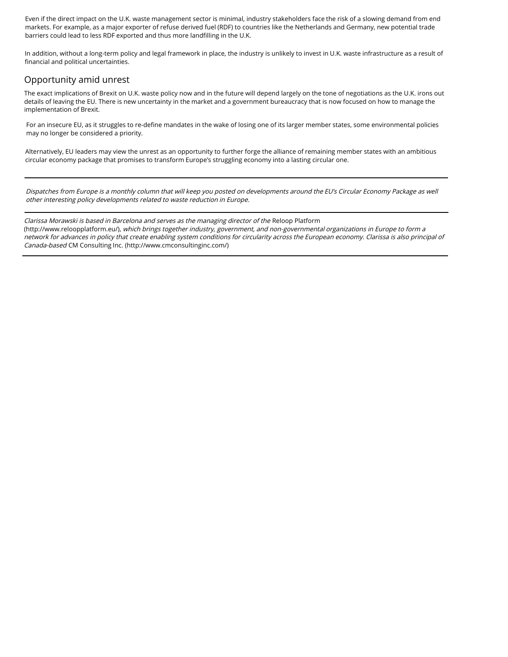Even if the direct impact on the U.K. waste management sector is minimal, industry stakeholders face the risk of [a slowing demand from end](http://resource-recycling.com/recycling/2016/12/12/green-mountain-state-proves-its-green/)  markets. For example, as a major exporter of refuse derived fuel (RDF) to countries like the Netherlands and Germany, new potential trade barriers could lead to less RDF exported and thus more landfilling in the U.K.

In addition, without a long-term policy and legal framework in place, the industry is unlikely to invest in U.K. waste infrastructure as a result of financial and political uncertainties.

#### Opportunity amid unrest

The exact implications of Brexit on U.K. waste policy now and in the future will depend largely on the tone of negotiations as the U.K. irons out details of leaving the EU. There is new uncertainty in the market and a government bureaucracy that is now focused on how to manage the implementation of Brexit.

For an insecure EU, as it struggles to re-define mandates in the wake of losing one of its larger member states, s[ome environmental policies](http://resource-recycling.com/recycling/2016/12/12/atlanta-to-run-trial-on-rubicons-route-and-recycling-software/)  may no longer be considered a priority.

Alternatively, EU leaders may view the unrest as an opportunity to further forge the alliance of remaining member states with an ambitious circular economy package that promises to transform Europe's struggling economy into a lasting circular one.

Dispatches from Europe is a monthly column that will keep you posted on developments around the EU's Circul[ar Economy Package as well](http://resource-recycling.com/recycling/2016/12/12/in-other-news-dec-12-2016/)  other interesting policy developments related to waste reduction in Europe.

[Clarissa Morawski is based in Barcelona and serves as the managing director of the](http://www.reloopplatform.eu/) Reloop Platform (http://www.reloopplatform.eu/), which brings together industry, government, and non-governmental organizations in Europe to form a network for advances in policy that create enabling system conditions for circularity across the European econ[omy. Clarissa is also principal of](http://resource-recycling.com/recycling/category/news/)  Canada-based CM Consulting Inc. [\(http://www.cmconsultinginc.com/\)](http://www.cmconsultinginc.com/)